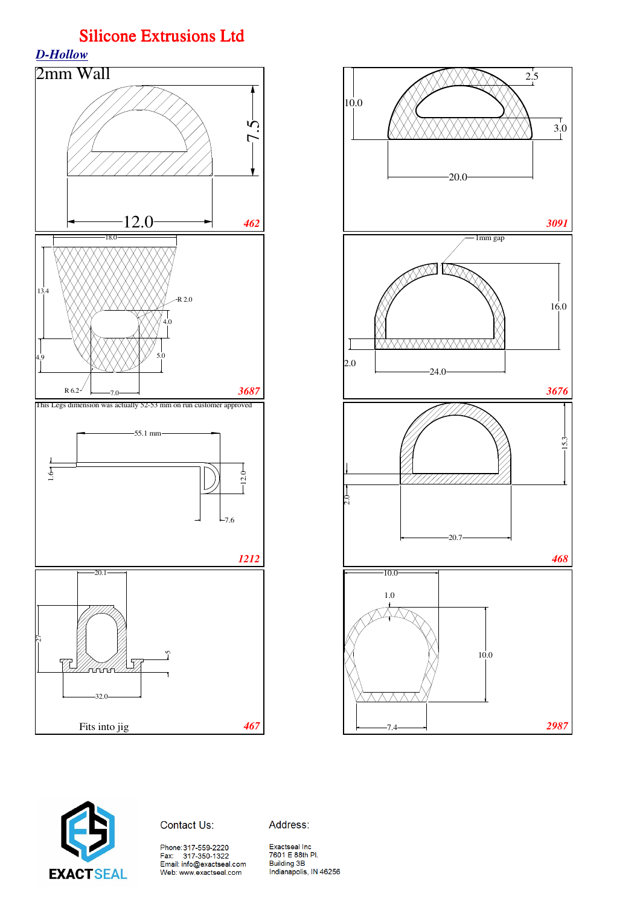





Contact Us:

Address:

Phone:317-559-2220<br>Fax: 317-350-1322<br>Email: info@exactseal.com Web: www.exactseal.com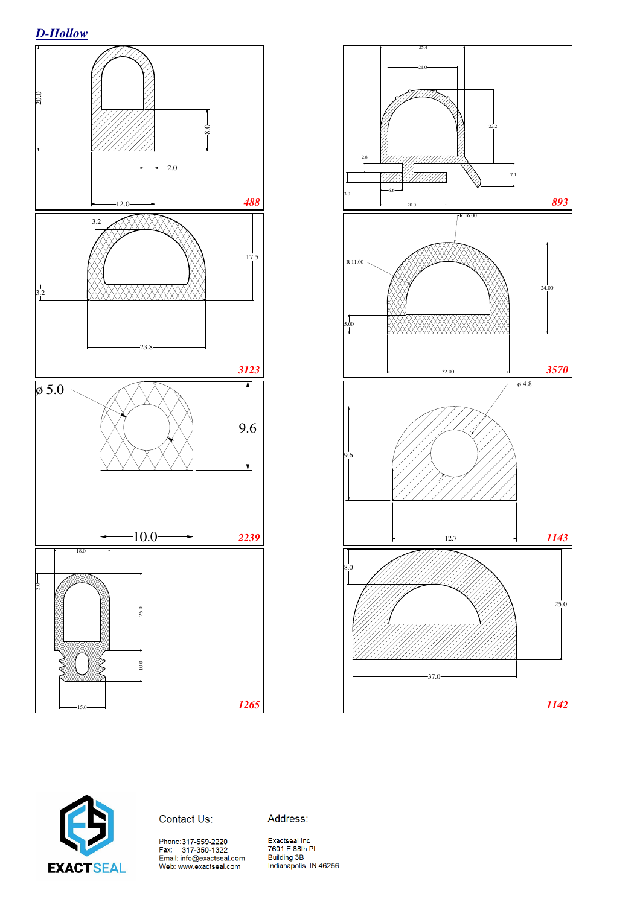





Contact Us:

Address:

Phone:317-559-2220<br>Fax: 317-350-1322<br>Email: info@exactseal.com<br>Web: www.exactseal.com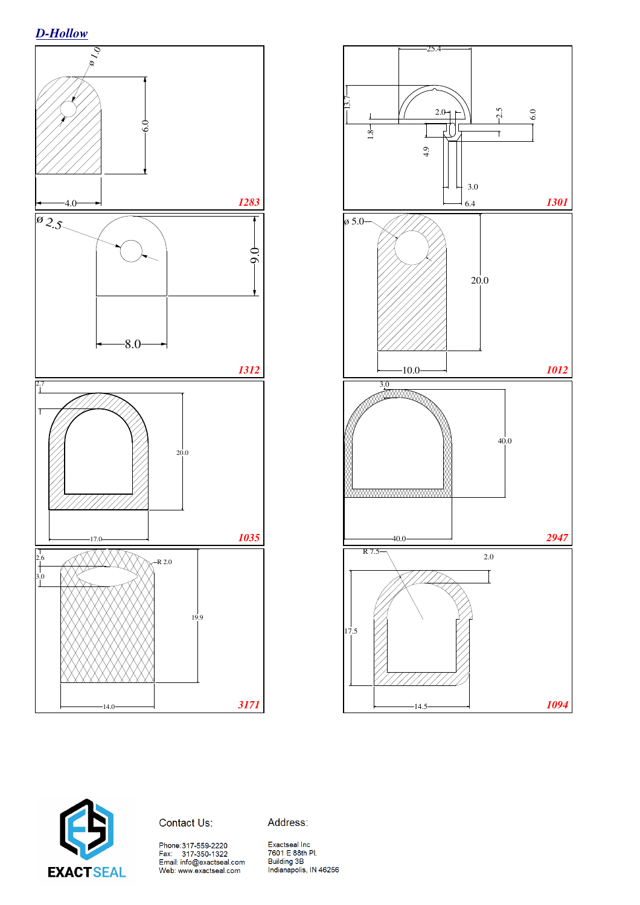





Contact Us:

Address:

Phone:317-559-2220<br>Fax: 317-350-1322<br>Email: info@exactseal.com<br>Web: www.exactseal.com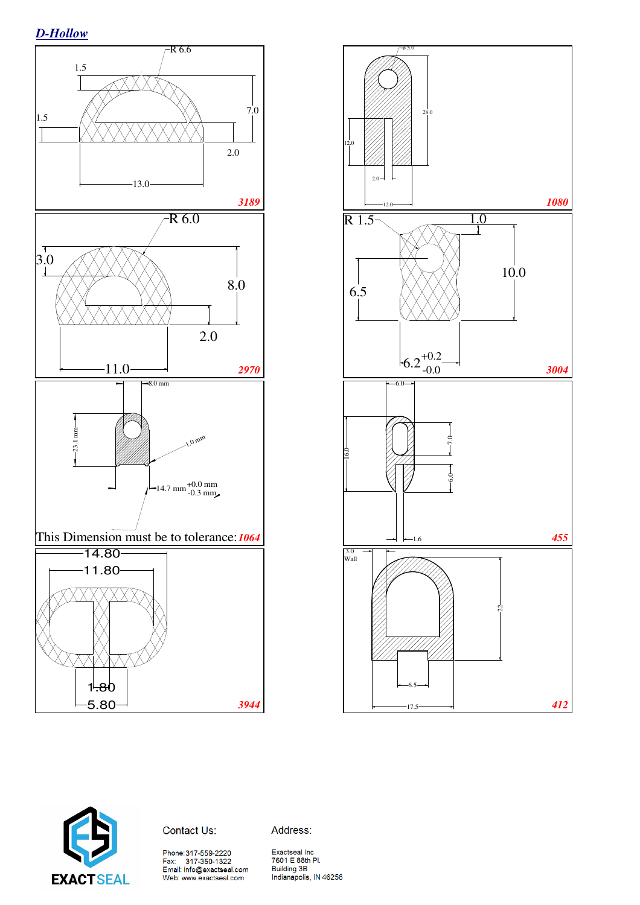*D-Hollow*







#### Contact Us:

Phone: 317-559-2220<br>Fax: 317-350-1322<br>Email: info@exactseal.com Web: www.exactseal.com

Address: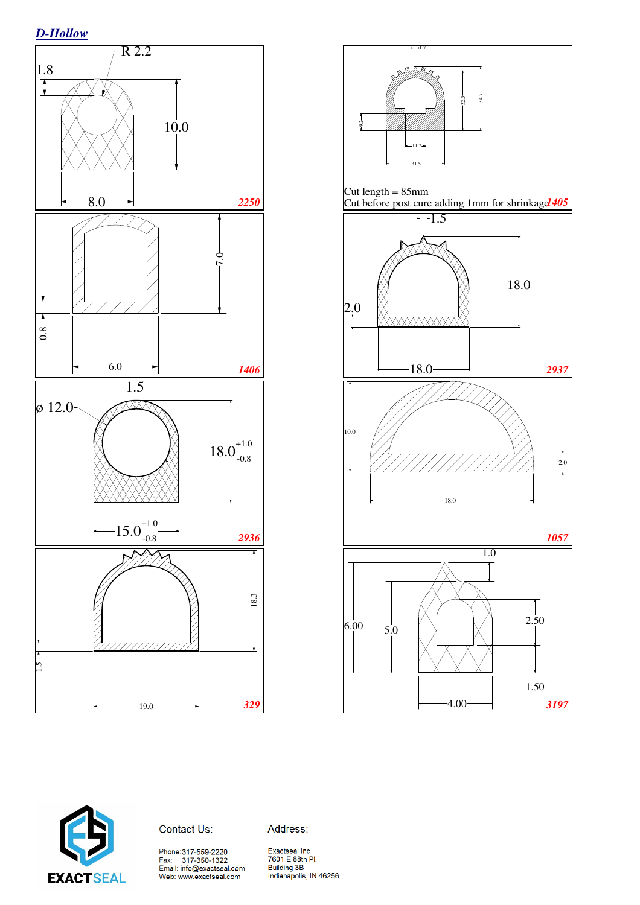





### Contact Us:

Phone:317-559-2220<br>Fax: 317-350-1322<br>Email: info@exactseal.com Web: www.exactseal.com

Address: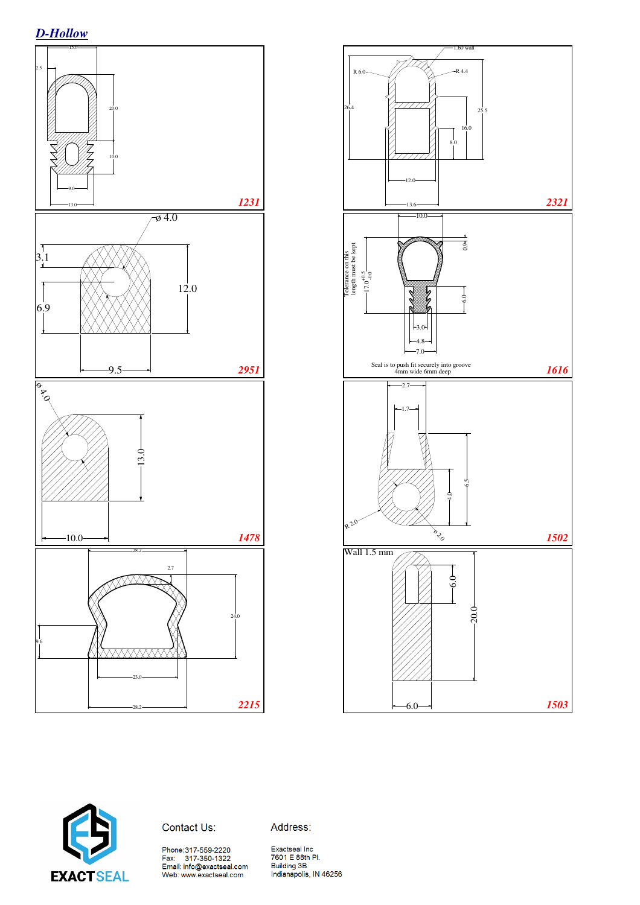





#### Contact Us:

Phone: 317-559-2220<br>Fax: 317-350-1322<br>Email: info@exactseal.com<br>Web: www.exactseal.com

Address: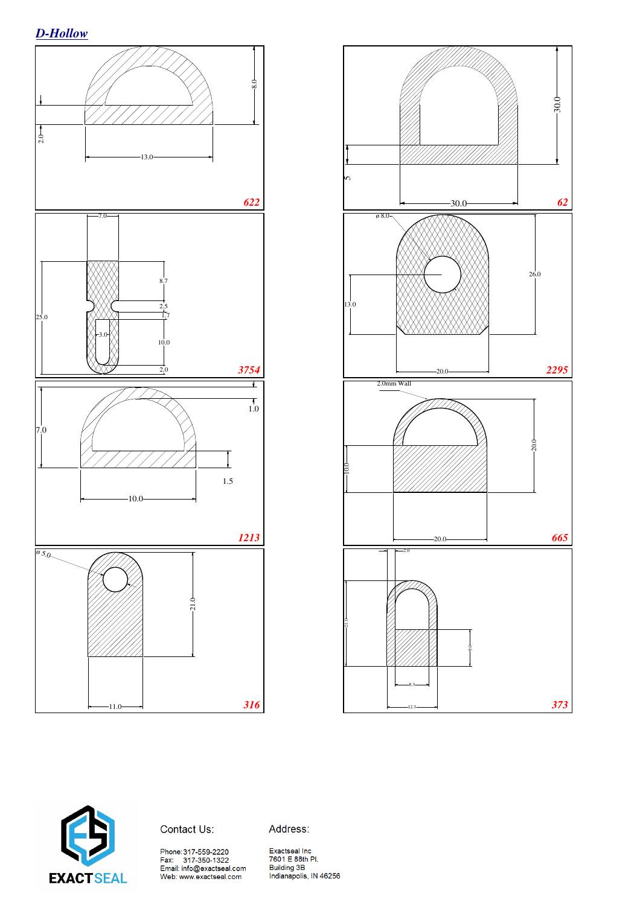





### Contact Us:

Phone:317-559-2220<br>Fax: 317-350-1322<br>Email: info@exactseal.com<br>Web: www.exactseal.com

Address: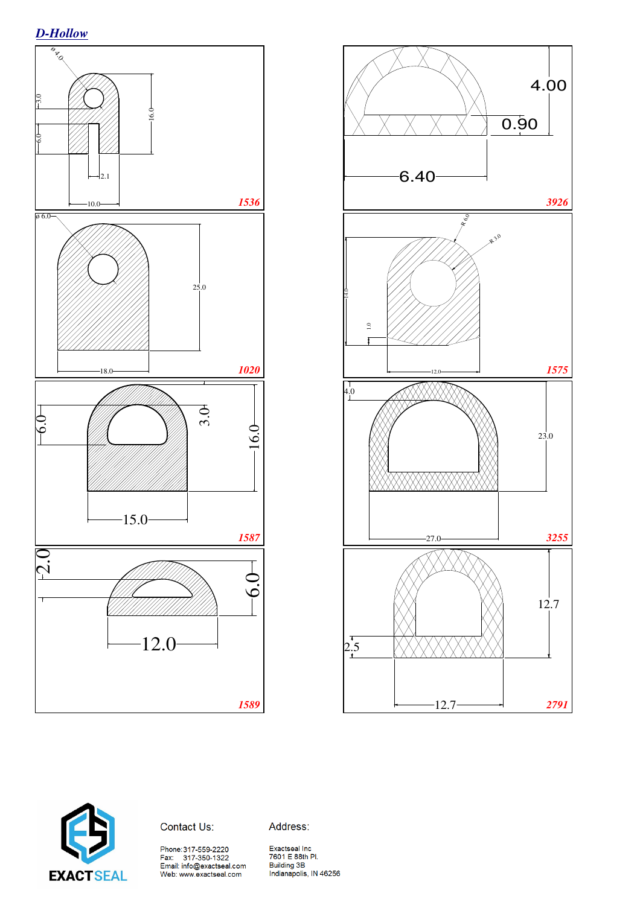





Contact Us:

Phone:317-559-2220<br>Fax: 317-350-1322<br>Email: info@exactseal.com<br>Web: www.exactseal.com

Address:

Exactseal Inc<br>7601 E 88th Pl. Building 3B Building 3B<br>Indianapolis, IN 46256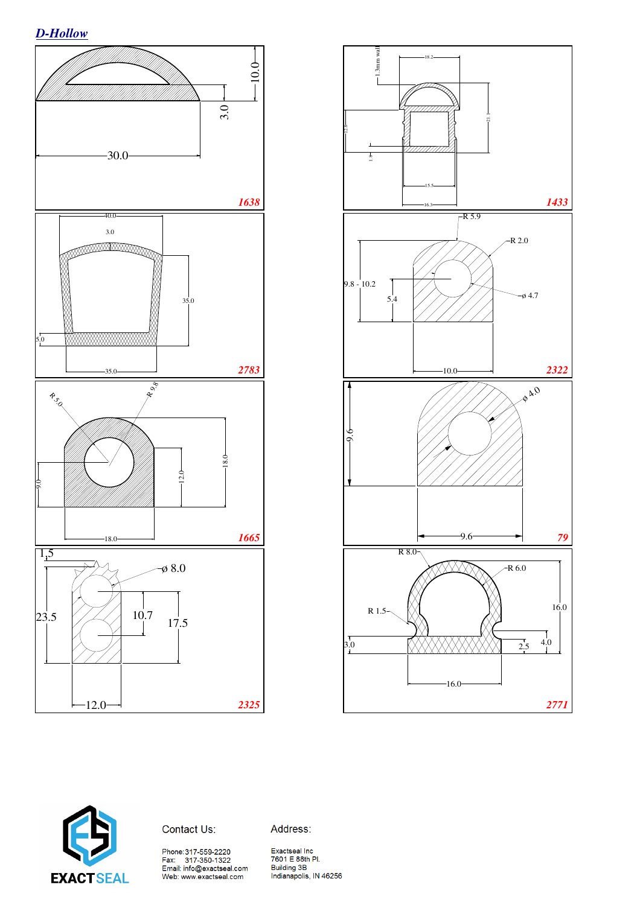*D-Hollow*







### Contact Us:

Phone:317-559-2220<br>Fax: 317-350-1322<br>Email: info@exactseal.com<br>Web: www.exactseal.com

Address: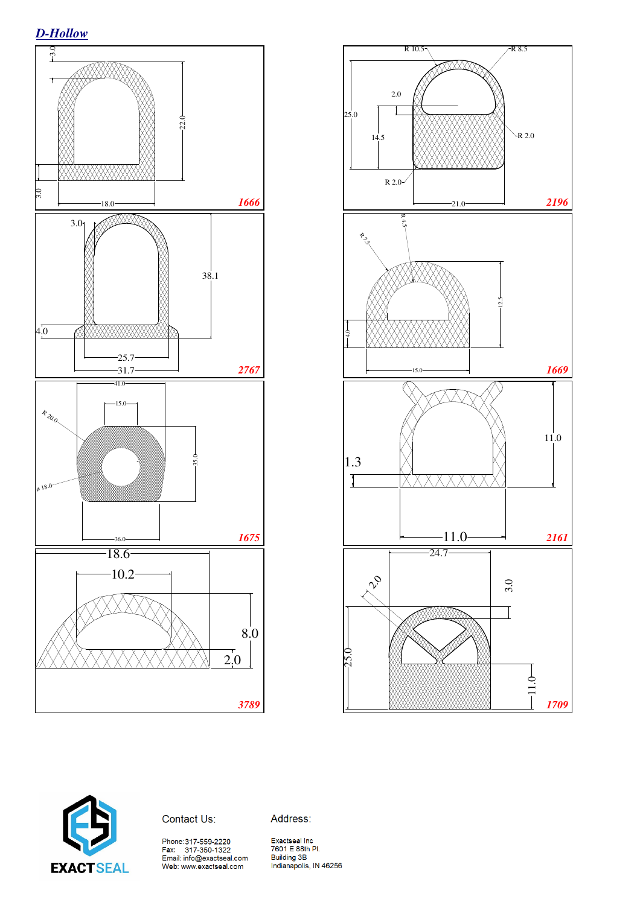





Contact Us:

Address:

Phone:317-559-2220<br>Fax: 317-350-1322<br>Email: info@exactseal.com<br>Web: www.exactseal.com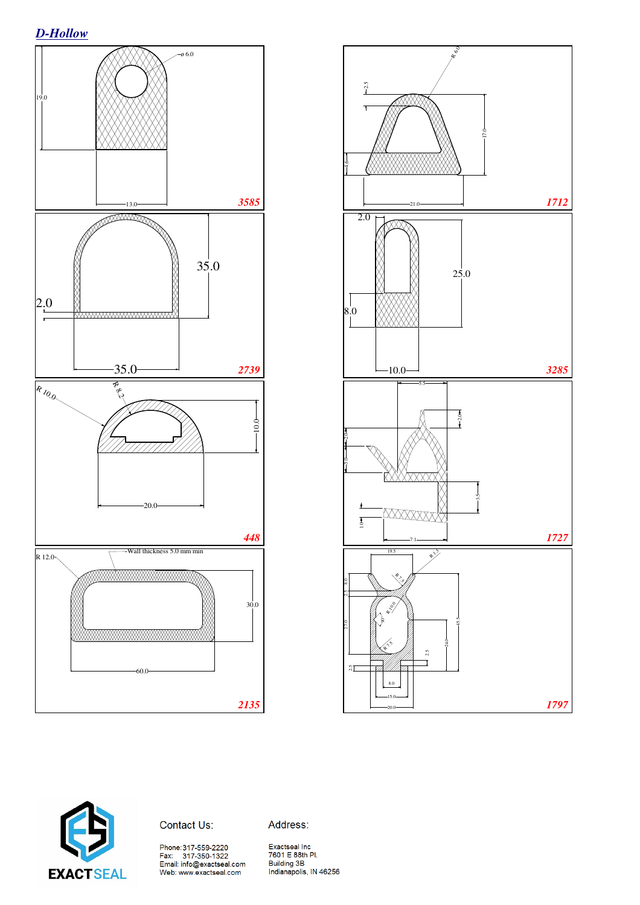





#### Contact Us:

Address:

Phone:317-559-2220<br>Fax: 317-350-1322<br>Email: info@exactseal.com<br>Web: www.exactseal.com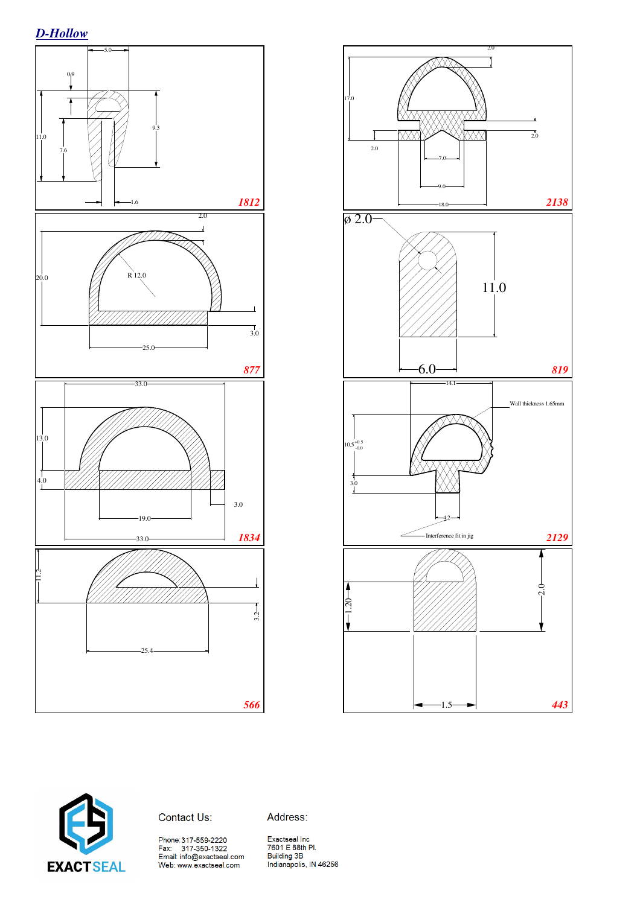





Contact Us:

Address: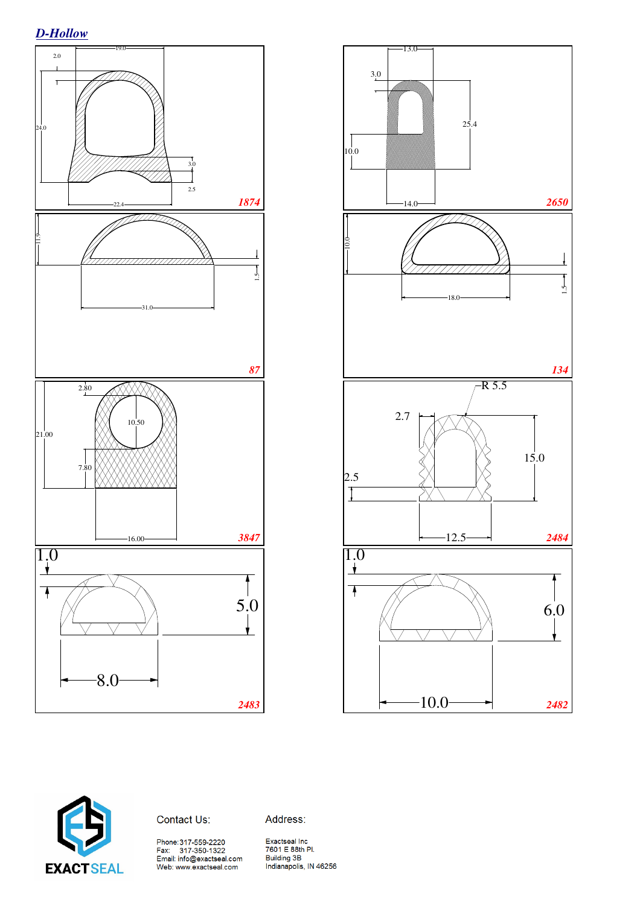





#### Contact Us:

Address:

Phone:317-559-2220<br>Fax: 317-350-1322<br>Email: info@exactseal.com<br>Web: www.exactseal.com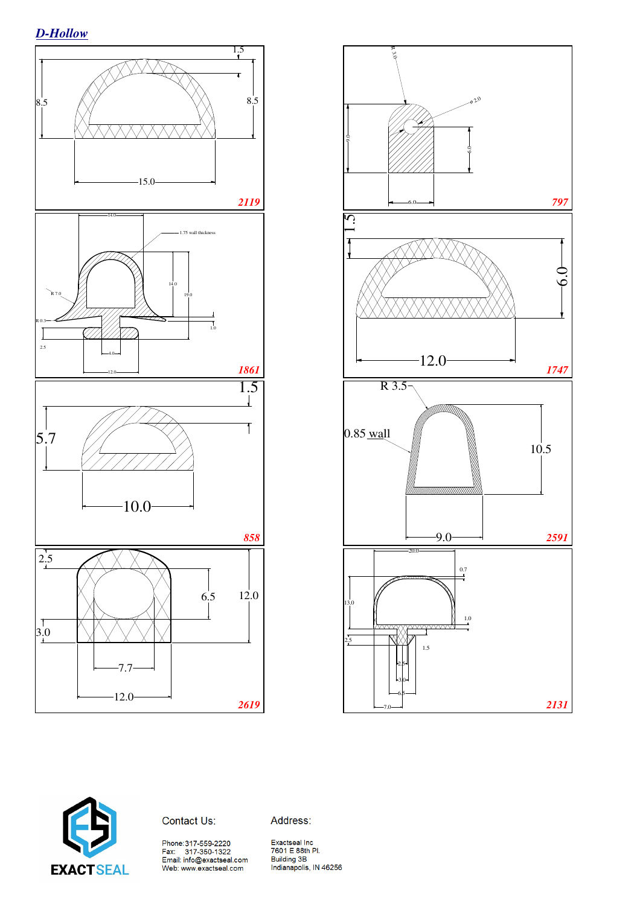





Contact Us:

Address:

Phone:317-559-2220<br>Fax: 317-350-1322<br>Email: info@exactseal.com<br>Web: www.exactseal.com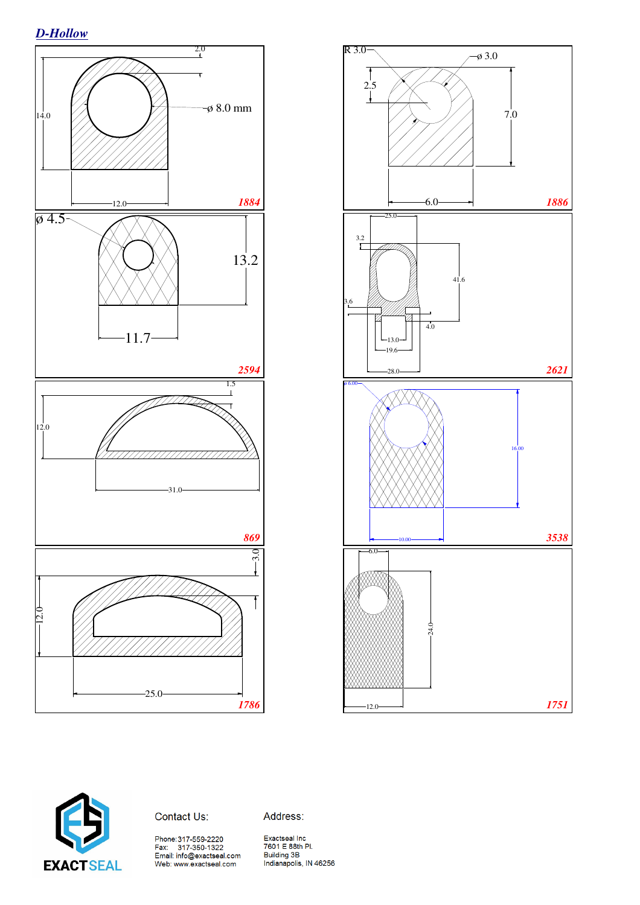*D-Hollow*







#### Contact Us:

Address: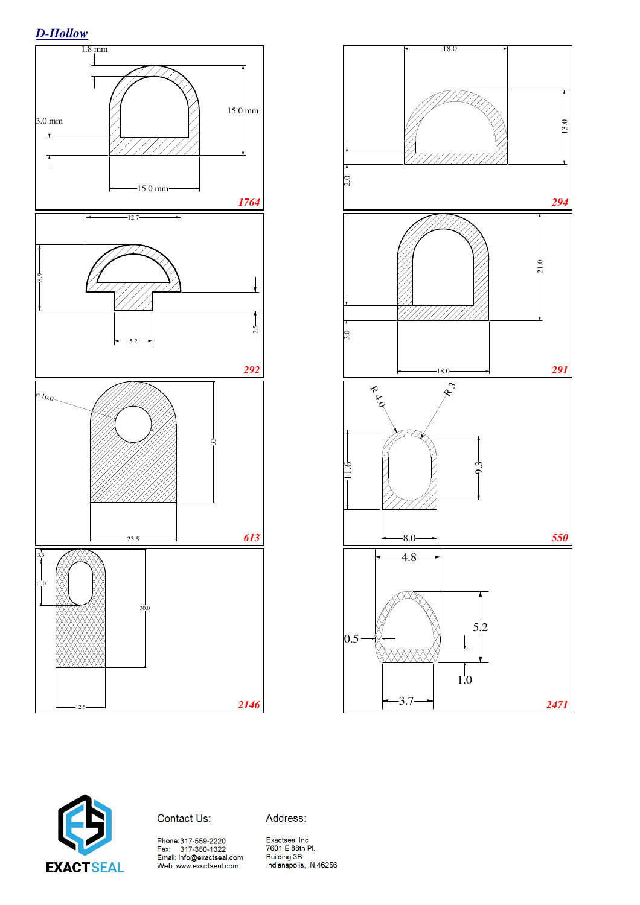





Contact Us:

Address: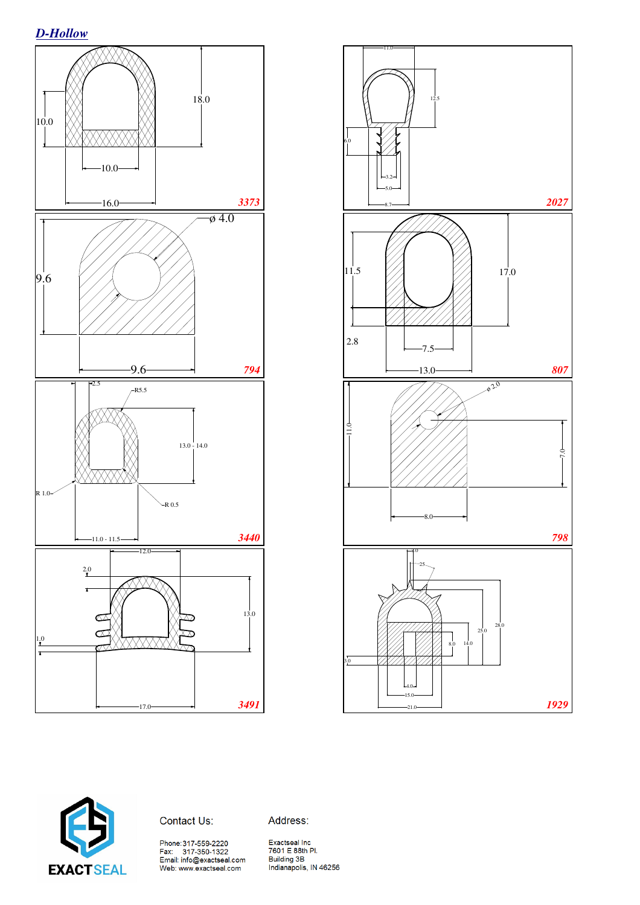





Contact Us:

Address:

Phone:317-559-2220<br>Fax: 317-350-1322<br>Email: info@exactseal.com<br>Web: www.exactseal.com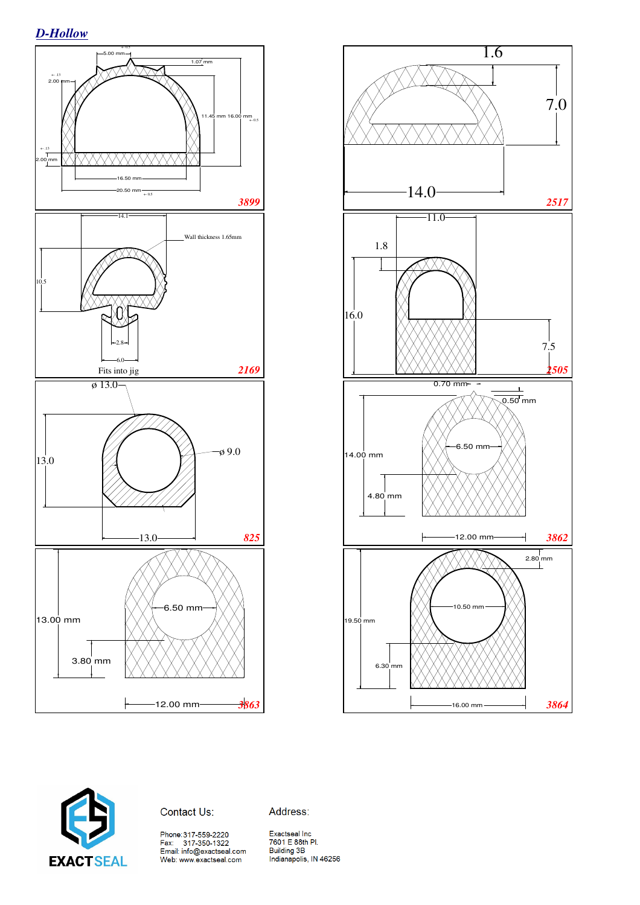





Contact Us:

Address: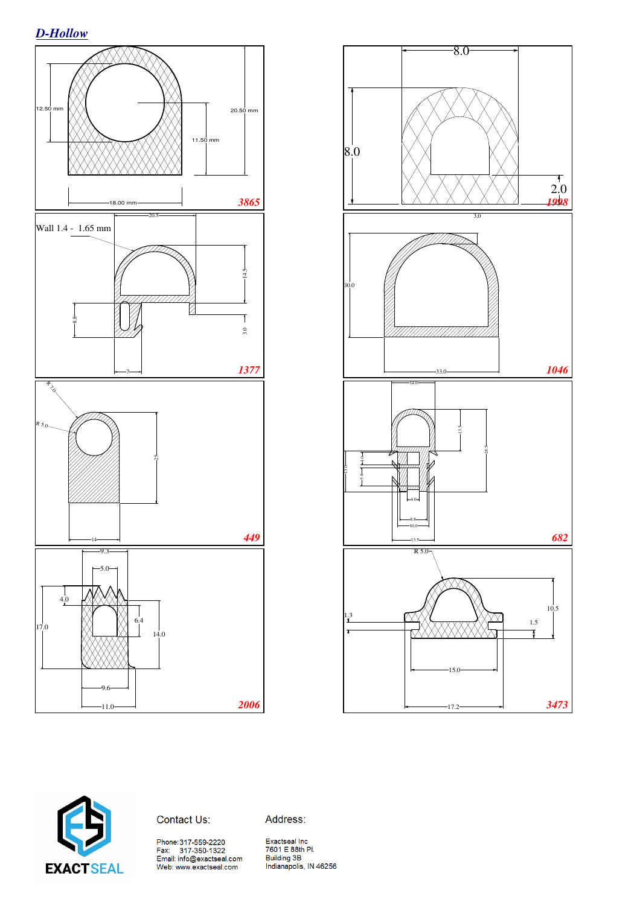





#### Contact Us:

Address:

Phone:317-559-2220<br>Fax: 317-350-1322<br>Email: info@exactseal.com<br>Web: www.exactseal.com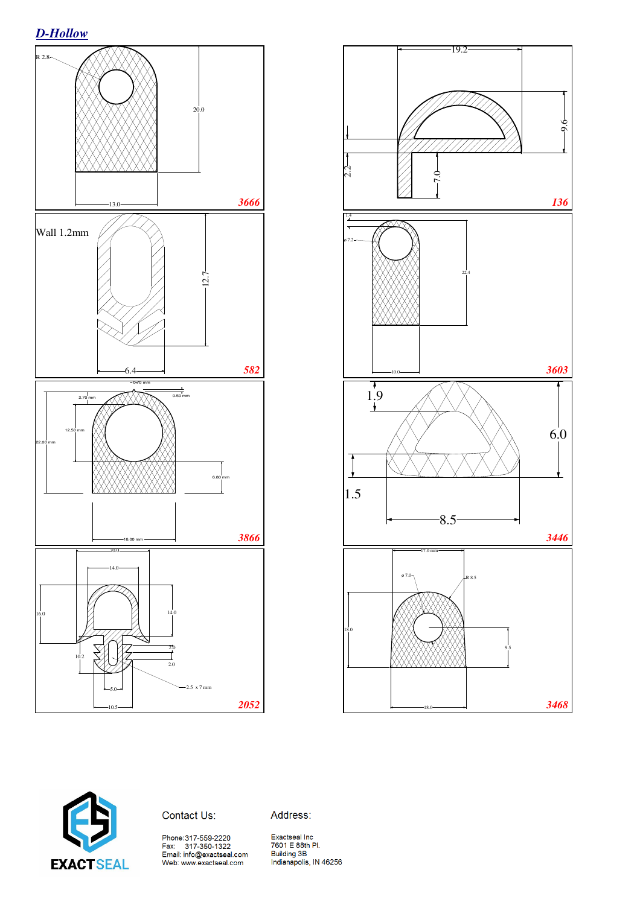





Contact Us:

Address: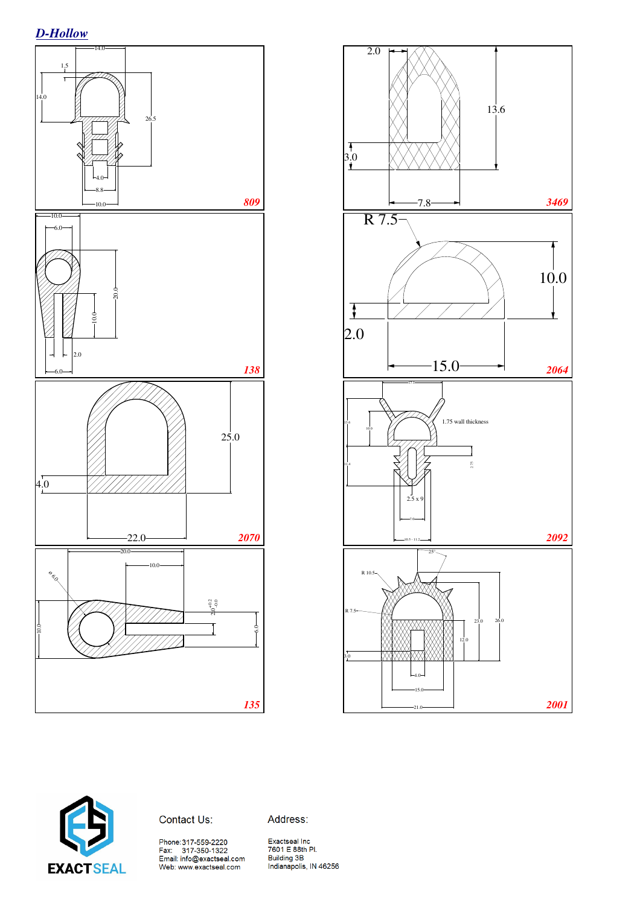





Contact Us:

Address:

Phone:317-559-2220<br>Fax: 317-350-1322<br>Email: info@exactseal.com<br>Web: www.exactseal.com